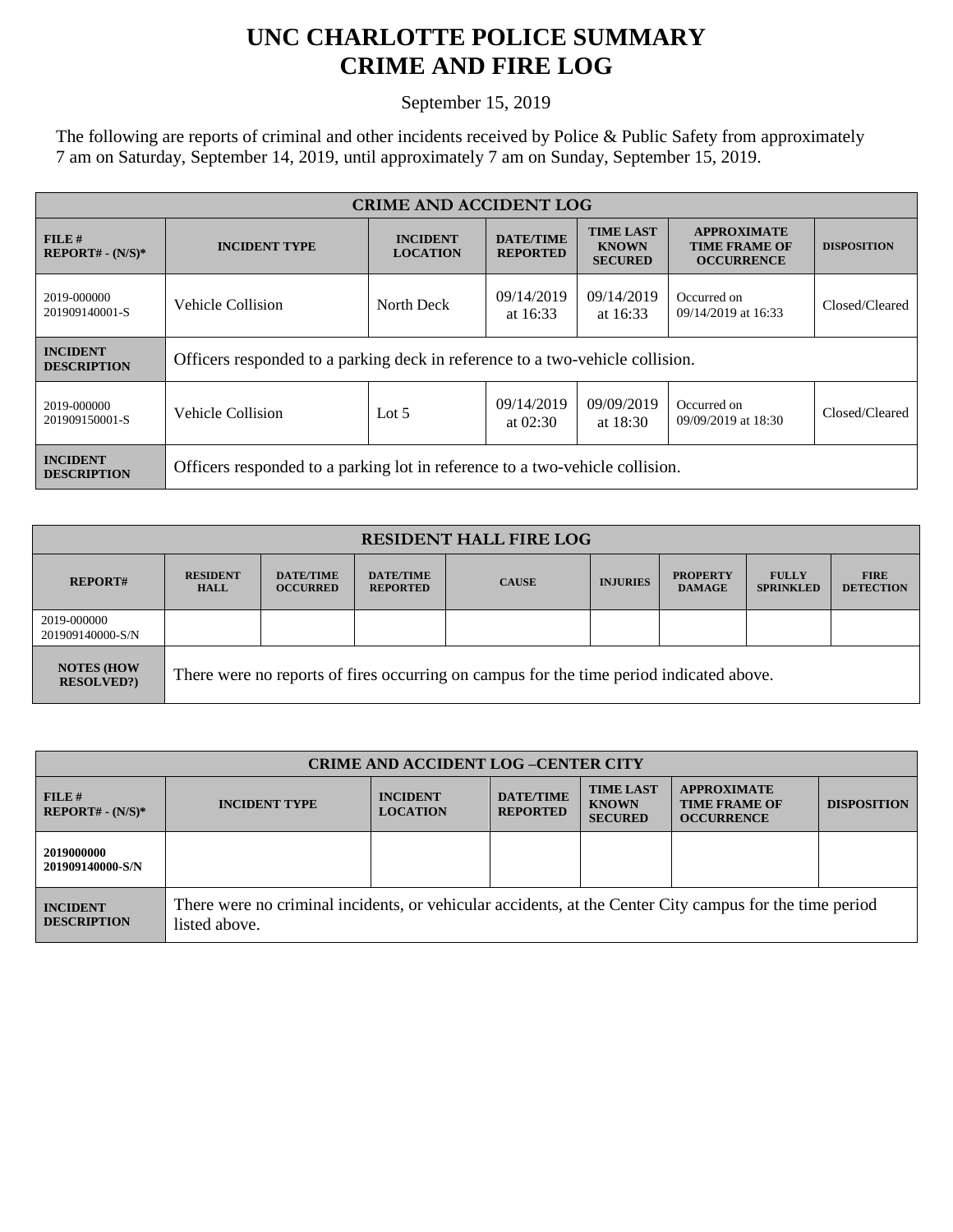## **UNC CHARLOTTE POLICE SUMMARY CRIME AND FIRE LOG**

September 15, 2019

The following are reports of criminal and other incidents received by Police & Public Safety from approximately 7 am on Saturday, September 14, 2019, until approximately 7 am on Sunday, September 15, 2019.

| <b>CRIME AND ACCIDENT LOG</b>         |                                                                               |                                                                  |                                     |                                                    |                                                                 |                    |
|---------------------------------------|-------------------------------------------------------------------------------|------------------------------------------------------------------|-------------------------------------|----------------------------------------------------|-----------------------------------------------------------------|--------------------|
| $FILE$ #<br>$REPORT# - (N/S)*$        | <b>INCIDENT TYPE</b>                                                          | <b>INCIDENT</b><br><b>LOCATION</b>                               | <b>DATE/TIME</b><br><b>REPORTED</b> | <b>TIME LAST</b><br><b>KNOWN</b><br><b>SECURED</b> | <b>APPROXIMATE</b><br><b>TIME FRAME OF</b><br><b>OCCURRENCE</b> | <b>DISPOSITION</b> |
| 2019-000000<br>201909140001-S         | Vehicle Collision                                                             | 09/14/2019<br>09/14/2019<br>North Deck<br>at $16:33$<br>at 16:33 |                                     | Occurred on<br>09/14/2019 at 16:33                 | Closed/Cleared                                                  |                    |
| <b>INCIDENT</b><br><b>DESCRIPTION</b> | Officers responded to a parking deck in reference to a two-vehicle collision. |                                                                  |                                     |                                                    |                                                                 |                    |
| 2019-000000<br>201909150001-S         | Vehicle Collision                                                             | Lot $5$                                                          | 09/14/2019<br>at $02:30$            | 09/09/2019<br>at $18:30$                           | Occurred on<br>09/09/2019 at 18:30                              | Closed/Cleared     |
| <b>INCIDENT</b><br><b>DESCRIPTION</b> | Officers responded to a parking lot in reference to a two-vehicle collision.  |                                                                  |                                     |                                                    |                                                                 |                    |

| <b>RESIDENT HALL FIRE LOG</b>         |                                                                                         |                                     |                                     |              |                 |                                  |                                  |                                 |
|---------------------------------------|-----------------------------------------------------------------------------------------|-------------------------------------|-------------------------------------|--------------|-----------------|----------------------------------|----------------------------------|---------------------------------|
| <b>REPORT#</b>                        | <b>RESIDENT</b><br><b>HALL</b>                                                          | <b>DATE/TIME</b><br><b>OCCURRED</b> | <b>DATE/TIME</b><br><b>REPORTED</b> | <b>CAUSE</b> | <b>INJURIES</b> | <b>PROPERTY</b><br><b>DAMAGE</b> | <b>FULLY</b><br><b>SPRINKLED</b> | <b>FIRE</b><br><b>DETECTION</b> |
| 2019-000000<br>201909140000-S/N       |                                                                                         |                                     |                                     |              |                 |                                  |                                  |                                 |
| <b>NOTES (HOW</b><br><b>RESOLVED?</b> | There were no reports of fires occurring on campus for the time period indicated above. |                                     |                                     |              |                 |                                  |                                  |                                 |

| <b>CRIME AND ACCIDENT LOG-CENTER CITY</b> |                                                                                                                          |                                    |                                     |                                                    |                                                                 |                    |
|-------------------------------------------|--------------------------------------------------------------------------------------------------------------------------|------------------------------------|-------------------------------------|----------------------------------------------------|-----------------------------------------------------------------|--------------------|
| FILE#<br>$REPORT# - (N/S)*$               | <b>INCIDENT TYPE</b>                                                                                                     | <b>INCIDENT</b><br><b>LOCATION</b> | <b>DATE/TIME</b><br><b>REPORTED</b> | <b>TIME LAST</b><br><b>KNOWN</b><br><b>SECURED</b> | <b>APPROXIMATE</b><br><b>TIME FRAME OF</b><br><b>OCCURRENCE</b> | <b>DISPOSITION</b> |
| 2019000000<br>201909140000-S/N            |                                                                                                                          |                                    |                                     |                                                    |                                                                 |                    |
| <b>INCIDENT</b><br><b>DESCRIPTION</b>     | There were no criminal incidents, or vehicular accidents, at the Center City campus for the time period<br>listed above. |                                    |                                     |                                                    |                                                                 |                    |